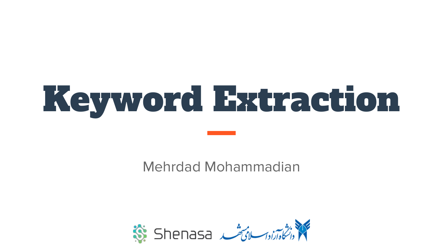# Keyword Extraction

Mehrdad Mohammadian

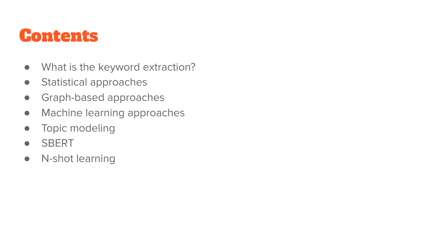### Contents

- What is the keyword extraction?
- Statistical approaches
- **•** Graph-based approaches
- Machine learning approaches
- Topic modeling
- SBERT
- N-shot learning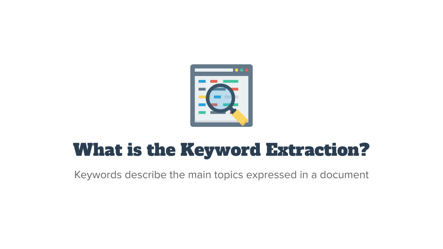

## What is the Keyword Extraction?

Keywords describe the main topics expressed in a document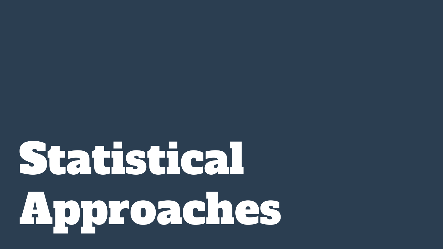# Statistical Approaches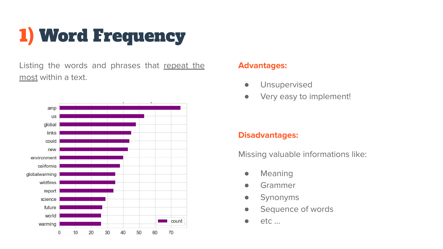## 1) Word Frequency

Listing the words and phrases that repeat the most within a text.



#### **Advantages:**

- **•** Unsupervised
- Very easy to implement!

#### **Disadvantages:**

Missing valuable informations like:

- Meaning
- Grammer
- Synonyms
- **•** Sequence of words
- etc …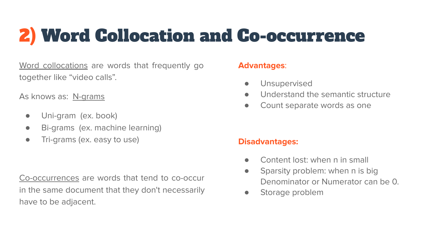## 2) Word Collocation and Co-occurrence

Word collocations are words that frequently go together like "video calls".

As knows as: N-grams

- Uni-gram (ex. book)
- Bi-grams (ex. machine learning)
- Tri-grams (ex. easy to use)

Co-occurrences are words that tend to co-occur in the same document that they don't necessarily have to be adjacent.

#### **Advantages**:

- Unsupervised
- Understand the semantic structure
- Count separate words as one

- Content lost: when n in small
- Sparsity problem: when n is big Denominator or Numerator can be 0.
- Storage problem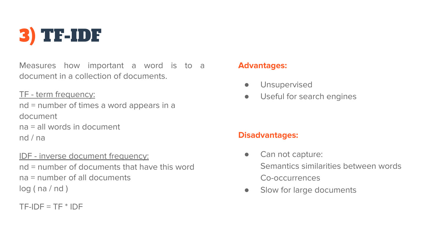

Measures how important a word is to a document in a collection of documents.

TF - term frequency: nd = number of times a word appears in a document na = all words in document nd / na

IDF - inverse document frequency: nd = number of documents that have this word na = number of all documents  $log(na/nd)$ 

 $TF-IDF = TF * IDF$ 

#### **Advantages:**

- **•** Unsupervised
- Useful for search engines

- Can not capture: Semantics similarities between words Co-occurrences
- Slow for large documents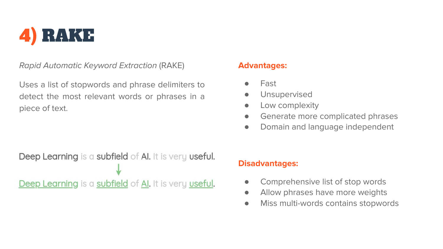

Rapid Automatic Keyword Extraction (RAKE)

Uses a list of stopwords and phrase delimiters to detect the most relevant words or phrases in a piece of text.

#### **Advantages:**

- **Fast**
- Unsupervised
- **•** Low complexity
- **•** Generate more complicated phrases
- Domain and language independent

Deep Learning is a subfield of Al. It is very useful. Deep Learning is a subfield of AI. It is very useful.

- Comprehensive list of stop words
- Allow phrases have more weights
- Miss multi-words contains stopwords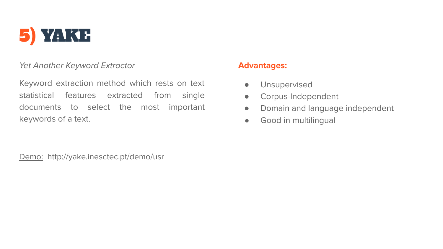

#### Yet Another Keyword Extractor

Keyword extraction method which rests on text statistical features extracted from single documents to select the most important keywords of a text.

Demo: http://yake.inesctec.pt/demo/usr

#### **Advantages:**

- **•** Unsupervised
- Corpus-Independent
- Domain and language independent
- Good in multilingual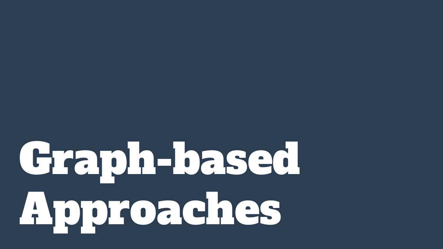# Graph-based Approaches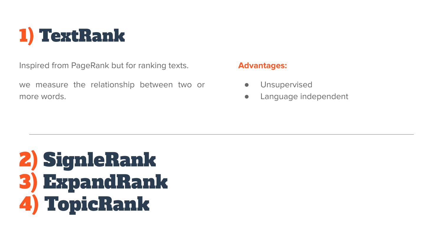

Inspired from PageRank but for ranking texts.

we measure the relationship between two or more words.

#### **Advantages:**

- Unsupervised
- Language independent

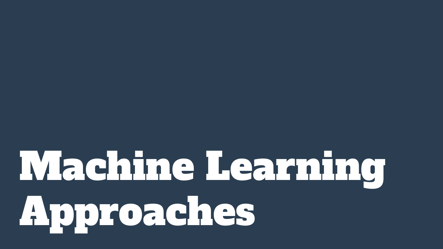# Machine Learning Approaches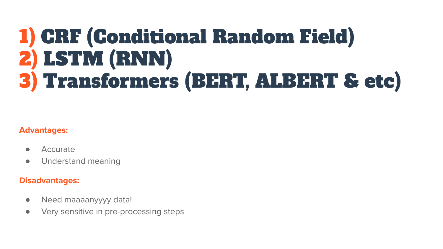## 1) CRF (Conditional Random Field) 2) LSTM (RNN) 3) Transformers (BERT, ALBERT & etc)

#### **Advantages:**

- Accurate
- Understand meaning

- Need maaaanyyyy data!
- Very sensitive in pre-processing steps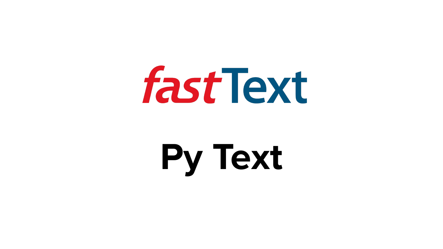

## **Py Text**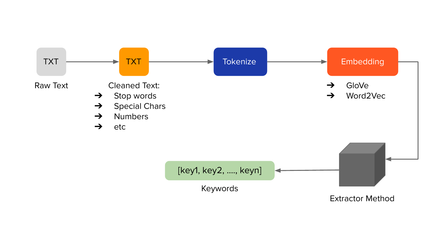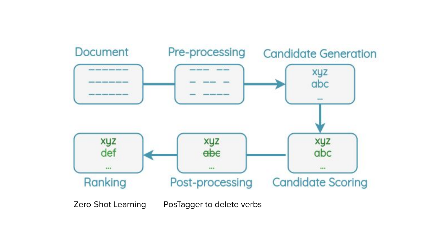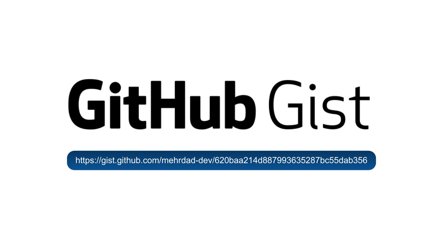# GitHub Gist

https://gist.github.com/mehrdad-dev/620baa214d887993635287bc55dab356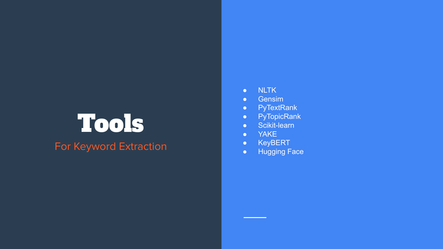## Tools

#### For Keyword Extraction

- NLTK
- Gensim
- PyTextRank
- PyTopicRank
- Scikit-learn
- YAKE
- KeyBERT
- Hugging Face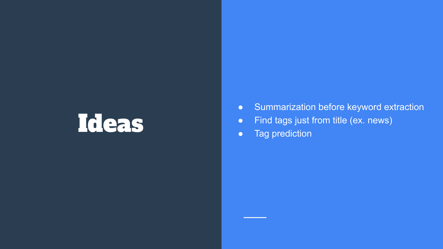## Ideas

- Summarization before keyword extraction
- Find tags just from title (ex. news)
- Tag prediction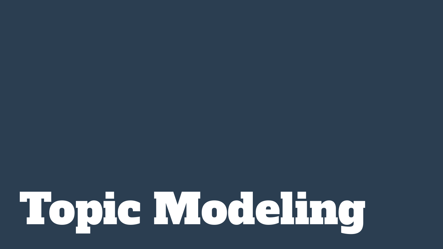# Topic Modeling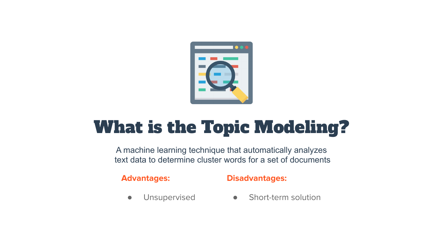

## What is the Topic Modeling?

A machine learning technique that automatically analyzes text data to determine cluster words for a set of documents

**Advantages:**

#### **Disadvantages:**

**•** Unsupervised

● Short-term solution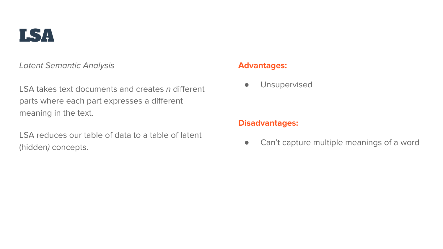

Latent Semantic Analysis

LSA takes text documents and creates n different parts where each part expresses a different meaning in the text.

LSA reduces our table of data to a table of latent (hidden) concepts.

#### **Advantages:**

**•** Unsupervised

#### **Disadvantages:**

● Can't capture multiple meanings of a word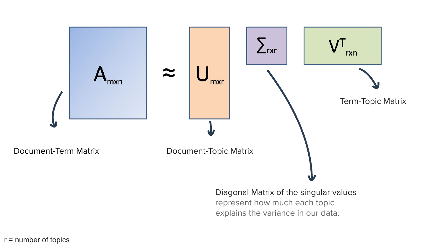

#### r = number of topics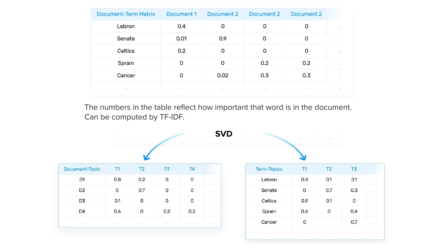| Document-Term Matrix | Document 1 | Document 2 | Document 2 | Document 2 |                                                                                                                                      |
|----------------------|------------|------------|------------|------------|--------------------------------------------------------------------------------------------------------------------------------------|
| Lebron               | 0.4        | 0          | 0          | 0          | $\mathcal{L}^{\mathcal{L}}\left( \mathcal{L}^{\mathcal{L}}\right) =\mathcal{L}^{\mathcal{L}}\left( \mathcal{L}^{\mathcal{L}}\right)$ |
| Senate               | 0.01       | 0.9        | 0          | 0          | $-0.0 - 0.0$                                                                                                                         |
| Celtics              | 0.2        | O          | 0          | 0          | 1.11                                                                                                                                 |
| Sprain               | O          | 0          | 0.2        | 0.2        | <b>STATE</b>                                                                                                                         |
| Cancer               | O          | 0.02       | 0.3        | 0.3        | $-0.013$                                                                                                                             |
| $-0.4 - 0.1$         | $-0.00$    | $-0.01$    | $-0.01$    | 1.11       | $-0.01$                                                                                                                              |

The numbers in the table reflect how important that word is in the document. Can be computed by TF-IDF.

 $T3$ 

 $0.1$ 

 $0.3$ 

 $\mathsf{O}$ 

 $0.4$  $0.7$ 

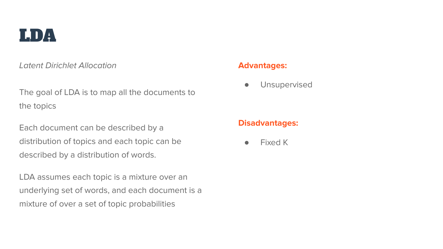

Latent Dirichlet Allocation

The goal of LDA is to map all the documents to the topics

Each document can be described by a distribution of topics and each topic can be described by a distribution of words.

LDA assumes each topic is a mixture over an underlying set of words, and each document is a mixture of over a set of topic probabilities

#### **Advantages:**

**•** Unsupervised

#### **Disadvantages:**

● Fixed K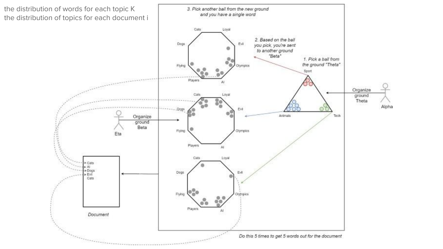the distribution of words for each topic K the distribution of topics for each document i

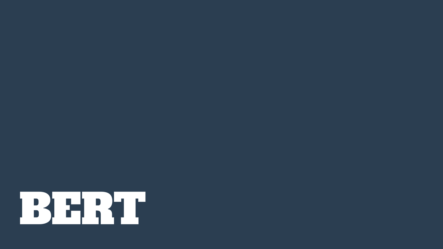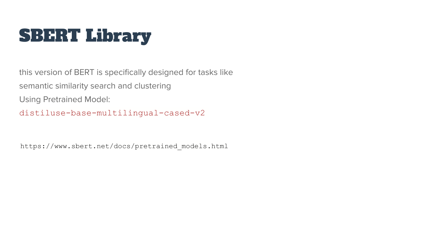## SBERT Library

this version of BERT is specifically designed for tasks like semantic similarity search and clustering Using Pretrained Model: distiluse-base-multilingual-cased-v2

https://www.sbert.net/docs/pretrained\_models.html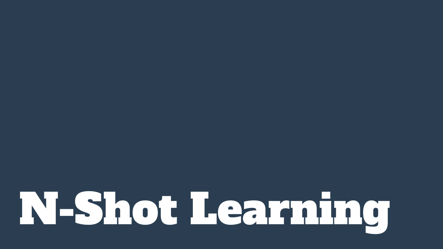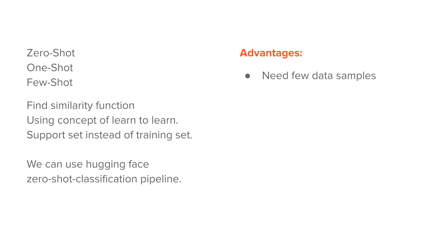Zero-Shot One-Shot Few-Shot

Find similarity function Using concept of learn to learn. Support set instead of training set.

We can use hugging face zero-shot-classification pipeline.

#### **Advantages:**

• Need few data samples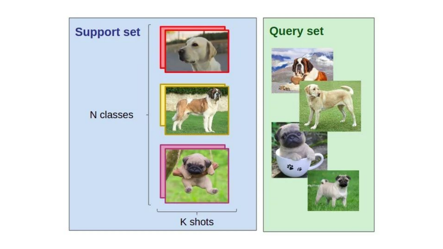